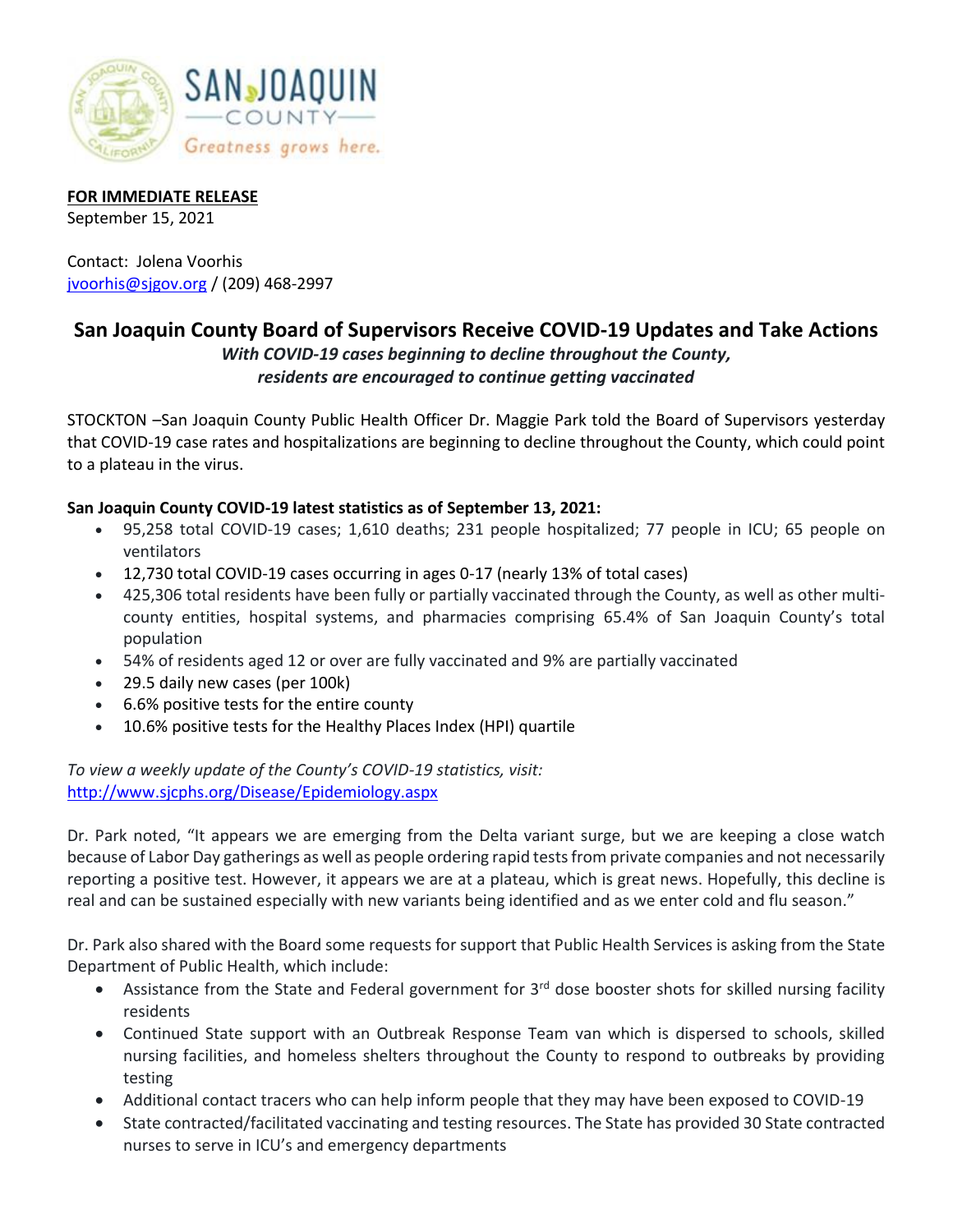

#### **FOR IMMEDIATE RELEASE**

September 15, 2021

Contact: Jolena Voorhis [jvoorhis@sjgov.org](mailto:jvoorhis@sjgov.org) / (209) 468-2997

# **San Joaquin County Board of Supervisors Receive COVID-19 Updates and Take Actions**

### *With COVID-19 cases beginning to decline throughout the County, residents are encouraged to continue getting vaccinated*

STOCKTON –San Joaquin County Public Health Officer Dr. Maggie Park told the Board of Supervisors yesterday that COVID-19 case rates and hospitalizations are beginning to decline throughout the County, which could point to a plateau in the virus.

## **San Joaquin County COVID-19 latest statistics as of September 13, 2021:**

- 95,258 total COVID-19 cases; 1,610 deaths; 231 people hospitalized; 77 people in ICU; 65 people on ventilators
- 12,730 total COVID-19 cases occurring in ages 0-17 (nearly 13% of total cases)
- 425,306 total residents have been fully or partially vaccinated through the County, as well as other multicounty entities, hospital systems, and pharmacies comprising 65.4% of San Joaquin County's total population
- 54% of residents aged 12 or over are fully vaccinated and 9% are partially vaccinated
- 29.5 daily new cases (per 100k)
- 6.6% positive tests for the entire county
- 10.6% positive tests for the Healthy Places Index (HPI) quartile

*To view a weekly update of the County's COVID-19 statistics, visit:*  <http://www.sjcphs.org/Disease/Epidemiology.aspx>

Dr. Park noted, "It appears we are emerging from the Delta variant surge, but we are keeping a close watch because of Labor Day gatherings as well as people ordering rapid tests from private companies and not necessarily reporting a positive test. However, it appears we are at a plateau, which is great news. Hopefully, this decline is real and can be sustained especially with new variants being identified and as we enter cold and flu season."

Dr. Park also shared with the Board some requests for support that Public Health Services is asking from the State Department of Public Health, which include:

- Assistance from the State and Federal government for  $3^{rd}$  dose booster shots for skilled nursing facility residents
- Continued State support with an Outbreak Response Team van which is dispersed to schools, skilled nursing facilities, and homeless shelters throughout the County to respond to outbreaks by providing testing
- Additional contact tracers who can help inform people that they may have been exposed to COVID-19
- State contracted/facilitated vaccinating and testing resources. The State has provided 30 State contracted nurses to serve in ICU's and emergency departments